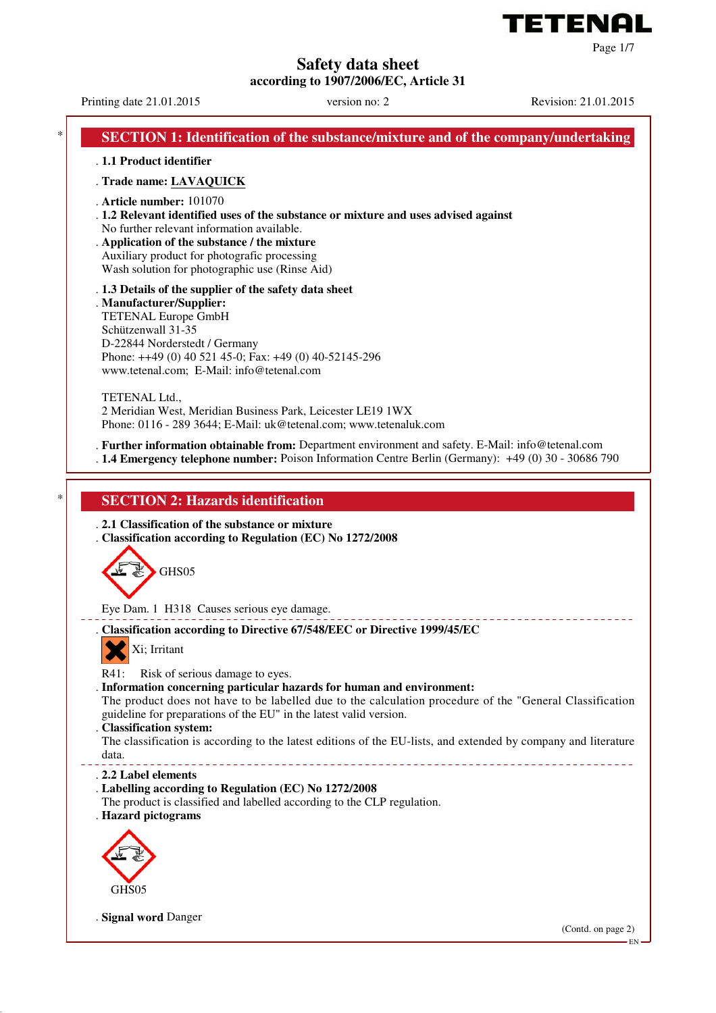

Printing date 21.01.2015 version no: 2 Revision: 21.01.2015

Page 1/7

EN

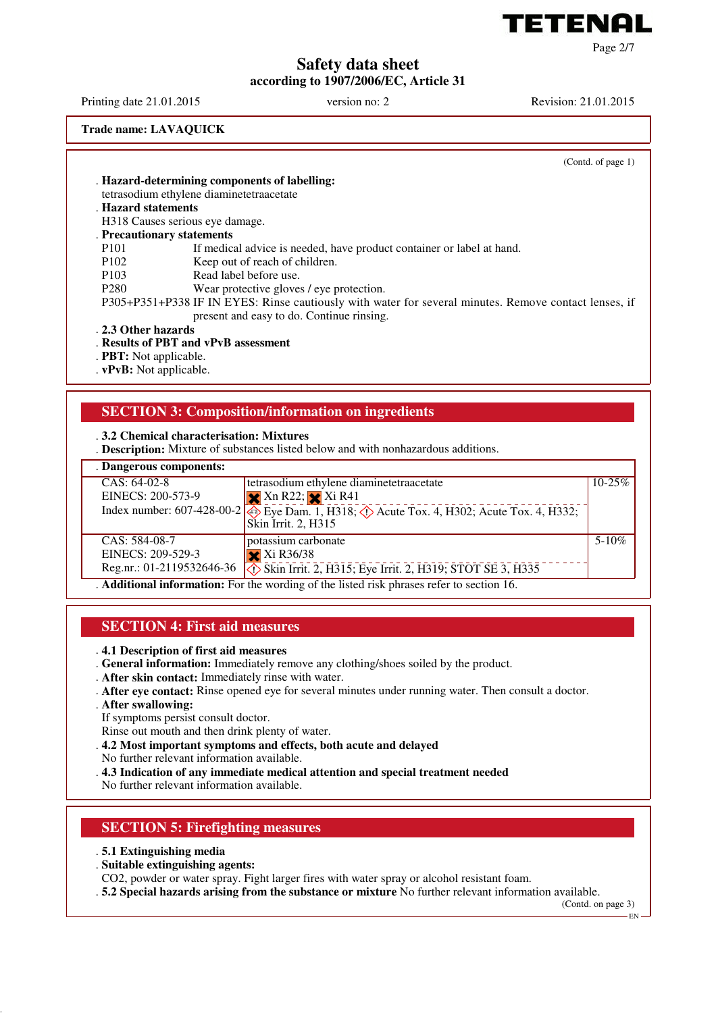

Printing date 21.01.2015 version no: 2 Revision: 21.01.2015

**Trade name: LAVAQUICK**

(Contd. of page 1)

Page 2/7

. **Hazard-determining components of labelling:** tetrasodium ethylene diaminetetraacetate . **Hazard statements** H318 Causes serious eye damage. . **Precautionary statements** P101 If medical advice is needed, have product container or label at hand.<br>P102 Keep out of reach of children. Keep out of reach of children. P103 Read label before use. P280 Wear protective gloves / eye protection. P305+P351+P338 IF IN EYES: Rinse cautiously with water for several minutes. Remove contact lenses, if present and easy to do. Continue rinsing.

#### . **2.3 Other hazards**

. **Results of PBT and vPvB assessment**

. **PBT:** Not applicable.

. **vPvB:** Not applicable.

## **SECTION 3: Composition/information on ingredients**

#### . **3.2 Chemical characterisation: Mixtures**

. **Description:** Mixture of substances listed below and with nonhazardous additions.

| . Dangerous components:   |                                                                                                      |             |
|---------------------------|------------------------------------------------------------------------------------------------------|-------------|
| $CAS: 64-02-8$            | tetrasodium ethylene diaminetetraacetate                                                             | $10 - 25\%$ |
| EINECS: 200-573-9         | $X$ Xn R22; $X$ Xi R41                                                                               |             |
|                           | Index number: $607-428-00-2$ eye Dam. 1, H318; $\circled{)}$ Acute Tox. 4, H302; Acute Tox. 4, H332; |             |
|                           | Skin Irrit. 2, H315                                                                                  |             |
| CAS: 584-08-7             | potassium carbonate                                                                                  | $5-10\%$    |
| EINECS: 209-529-3         | $\mathbf{\times}$ Xi R36/38                                                                          |             |
| Reg.nr.: 01-2119532646-36 | $\Diamond$ Skin Irrit. 2, H315; Eye Irrit. 2, H319; STOT SE 3, H335                                  |             |
|                           | . Additional information: For the wording of the listed risk phrases refer to section 16.            |             |

# **SECTION 4: First aid measures**

. **4.1 Description of first aid measures**

- . **General information:** Immediately remove any clothing/shoes soiled by the product.
- . **After skin contact:** Immediately rinse with water.
- . **After eye contact:** Rinse opened eye for several minutes under running water. Then consult a doctor.
- . **After swallowing:**
- If symptoms persist consult doctor.
- Rinse out mouth and then drink plenty of water.
- . **4.2 Most important symptoms and effects, both acute and delayed**
- No further relevant information available.
- . **4.3 Indication of any immediate medical attention and special treatment needed**

No further relevant information available.

## **SECTION 5: Firefighting measures**

- . **5.1 Extinguishing media**
- . **Suitable extinguishing agents:**
- CO2, powder or water spray. Fight larger fires with water spray or alcohol resistant foam.
- . **5.2 Special hazards arising from the substance or mixture** No further relevant information available.

(Contd. on page 3)

EN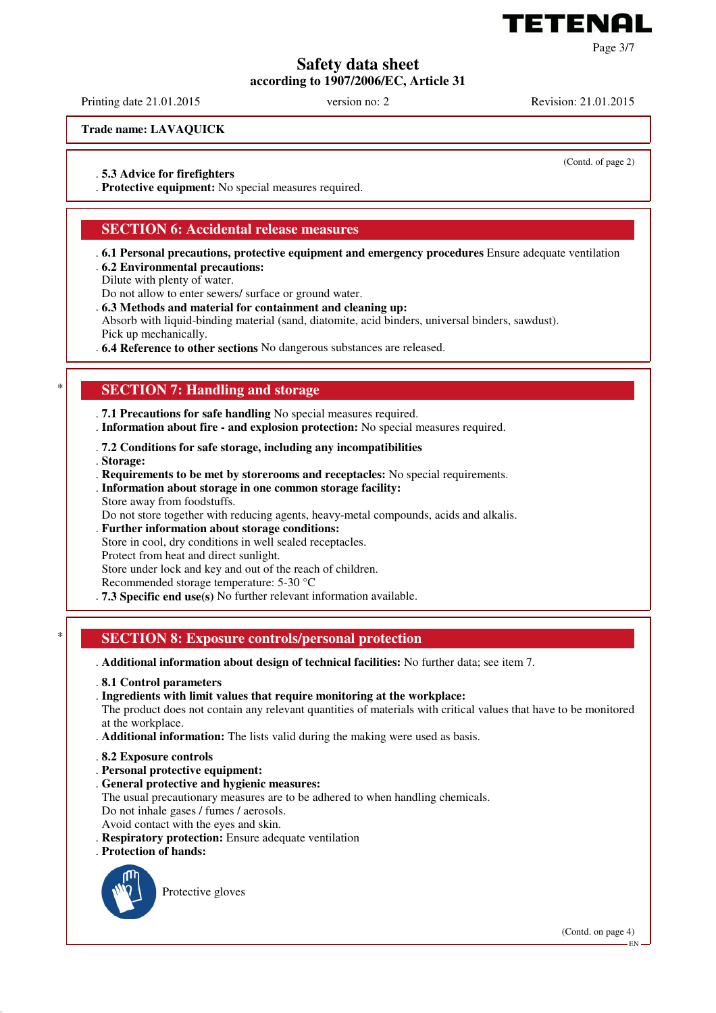

Printing date 21.01.2015 version no: 2 Revision: 21.01.2015

**Trade name: LAVAQUICK**

(Contd. of page 2)

Page 3/7

. **5.3 Advice for firefighters**

. **Protective equipment:** No special measures required.

## **SECTION 6: Accidental release measures**

- . **6.1 Personal precautions, protective equipment and emergency procedures** Ensure adequate ventilation . **6.2 Environmental precautions:**
- Dilute with plenty of water.
- Do not allow to enter sewers/ surface or ground water.
- . **6.3 Methods and material for containment and cleaning up:**

Absorb with liquid-binding material (sand, diatomite, acid binders, universal binders, sawdust). Pick up mechanically.

. **6.4 Reference to other sections** No dangerous substances are released.

## **SECTION 7: Handling and storage**

. **7.1 Precautions for safe handling** No special measures required.

- . **Information about fire and explosion protection:** No special measures required.
- . **7.2 Conditions for safe storage, including any incompatibilities**
- . **Storage:**
- . **Requirements to be met by storerooms and receptacles:** No special requirements.
- . **Information about storage in one common storage facility:** Store away from foodstuffs.
- Do not store together with reducing agents, heavy-metal compounds, acids and alkalis.
- . **Further information about storage conditions:**
- Store in cool, dry conditions in well sealed receptacles.

Protect from heat and direct sunlight.

Store under lock and key and out of the reach of children.

Recommended storage temperature: 5-30 °C

. **7.3 Specific end use(s)** No further relevant information available.

## \* **SECTION 8: Exposure controls/personal protection**

- . **Additional information about design of technical facilities:** No further data; see item 7.
- . **8.1 Control parameters**

. **Ingredients with limit values that require monitoring at the workplace:**

The product does not contain any relevant quantities of materials with critical values that have to be monitored at the workplace.

. **Additional information:** The lists valid during the making were used as basis.

- . **8.2 Exposure controls**
- . **Personal protective equipment:**
- . **General protective and hygienic measures:**
- The usual precautionary measures are to be adhered to when handling chemicals. Do not inhale gases / fumes / aerosols.
- Avoid contact with the eyes and skin.
- . **Respiratory protection:** Ensure adequate ventilation
- . **Protection of hands:**



Protective gloves

(Contd. on page 4)

EN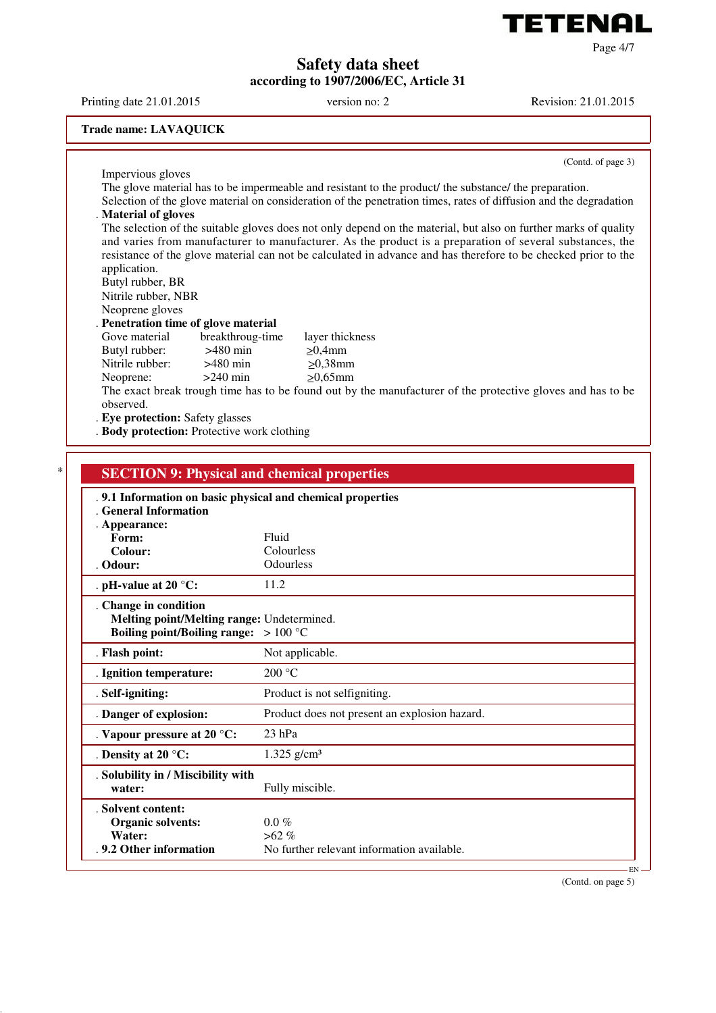

Printing date 21.01.2015 version no: 2 Revision: 21.01.2015

#### **Trade name: LAVAQUICK**

(Contd. of page 3)

Page 4/7

Impervious gloves The glove material has to be impermeable and resistant to the product/ the substance/ the preparation. Selection of the glove material on consideration of the penetration times, rates of diffusion and the degradation . **Material of gloves** The selection of the suitable gloves does not only depend on the material, but also on further marks of quality and varies from manufacturer to manufacturer. As the product is a preparation of several substances, the resistance of the glove material can not be calculated in advance and has therefore to be checked prior to the application. Butyl rubber, BR Nitrile rubber, NBR Neoprene gloves . **Penetration time of glove material** Gove material breakthroug-time layer thickness<br>Butyl rubber:  $>480$  min  $>0.4$ mm Butyl rubber:  $>480$  min  $\geq 0,4$ mm<br>Nitrile rubber:  $>480$  min  $>0,38$ mm Nitrile rubber: Neoprene:  $>240$  min  $\geq 0.65$ mm The exact break trough time has to be found out by the manufacturer of the protective gloves and has to be observed. . **Eye protection:** Safety glasses

. **Body protection:** Protective work clothing

| . 9.1 Information on basic physical and chemical properties |                                               |  |
|-------------------------------------------------------------|-----------------------------------------------|--|
| . General Information                                       |                                               |  |
| . Appearance:<br>Form:                                      | Fluid                                         |  |
| Colour:                                                     | Colourless                                    |  |
| . Odour:                                                    | Odourless                                     |  |
| . pH-value at 20 $^{\circ}$ C:                              | 11.2                                          |  |
| . Change in condition                                       |                                               |  |
| Melting point/Melting range: Undetermined.                  |                                               |  |
| Boiling point/Boiling range: $>100 °C$                      |                                               |  |
| . Flash point:                                              | Not applicable.                               |  |
| . Ignition temperature:                                     | 200 °C                                        |  |
| . Self-igniting:                                            | Product is not selfigniting.                  |  |
| . Danger of explosion:                                      | Product does not present an explosion hazard. |  |
| . Vapour pressure at 20 °C:                                 | $23$ hPa                                      |  |
| . Density at 20 $^{\circ}$ C:                               | $1.325$ g/cm <sup>3</sup>                     |  |
| . Solubility in / Miscibility with                          |                                               |  |
| water:                                                      | Fully miscible.                               |  |
| . Solvent content:                                          |                                               |  |
| <b>Organic solvents:</b>                                    | $0.0 \%$                                      |  |
| Water:                                                      | $>62\%$                                       |  |

(Contd. on page 5)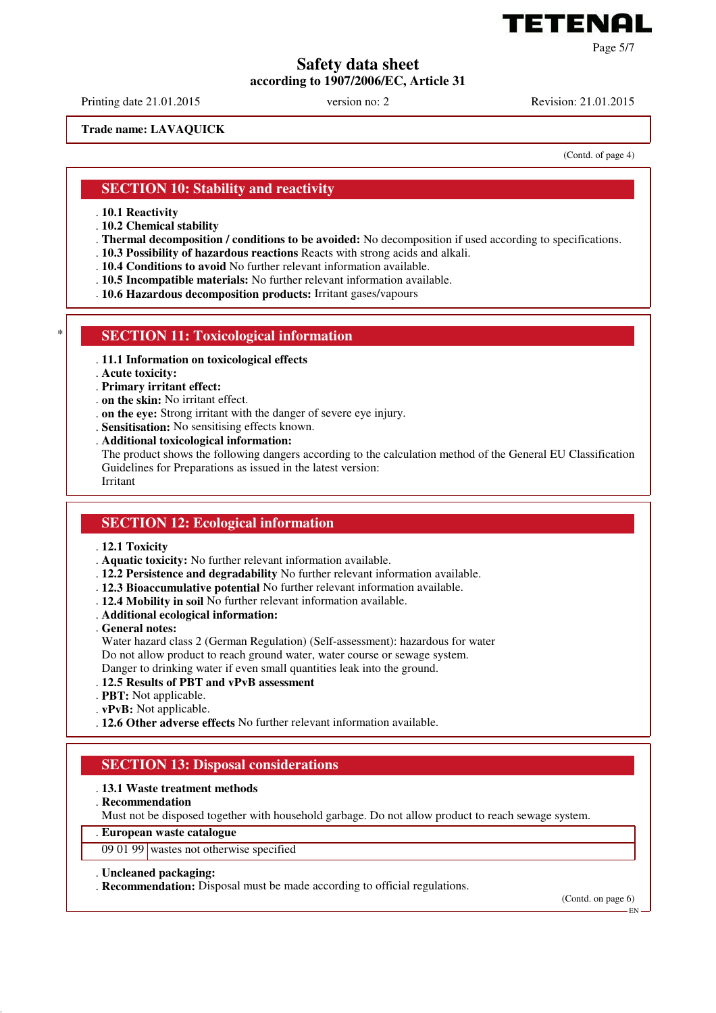

Printing date 21.01.2015 version no: 2 Revision: 21.01.2015

**Trade name: LAVAQUICK**

(Contd. of page 4)

Page 5/7

## **SECTION 10: Stability and reactivity**

. **10.1 Reactivity**

- . **10.2 Chemical stability**
- . **Thermal decomposition / conditions to be avoided:** No decomposition if used according to specifications.
- . **10.3 Possibility of hazardous reactions** Reacts with strong acids and alkali.
- . **10.4 Conditions to avoid** No further relevant information available.
- . **10.5 Incompatible materials:** No further relevant information available.
- . **10.6 Hazardous decomposition products:** Irritant gases/vapours

## **SECTION 11: Toxicological information**

- . **11.1 Information on toxicological effects**
- . **Acute toxicity:**
- . **Primary irritant effect:**
- . **on the skin:** No irritant effect.
- . **on the eye:** Strong irritant with the danger of severe eye injury.
- . **Sensitisation:** No sensitising effects known.
- . **Additional toxicological information:**

The product shows the following dangers according to the calculation method of the General EU Classification Guidelines for Preparations as issued in the latest version: Irritant

#### **SECTION 12: Ecological information**

- . **12.1 Toxicity**
- . **Aquatic toxicity:** No further relevant information available.
- . **12.2 Persistence and degradability** No further relevant information available.
- . **12.3 Bioaccumulative potential** No further relevant information available.
- . **12.4 Mobility in soil** No further relevant information available.
- . **Additional ecological information:**
- . **General notes:**

Water hazard class 2 (German Regulation) (Self-assessment): hazardous for water Do not allow product to reach ground water, water course or sewage system. Danger to drinking water if even small quantities leak into the ground.

- . **12.5 Results of PBT and vPvB assessment**
- . **PBT:** Not applicable.
- . **vPvB:** Not applicable.
- . **12.6 Other adverse effects** No further relevant information available.

## **SECTION 13: Disposal considerations**

#### . **13.1 Waste treatment methods**

. **Recommendation**

Must not be disposed together with household garbage. Do not allow product to reach sewage system.

## . **European waste catalogue**

09 01 99 wastes not otherwise specified

#### . **Uncleaned packaging:**

. **Recommendation:** Disposal must be made according to official regulations.

(Contd. on page 6)

EN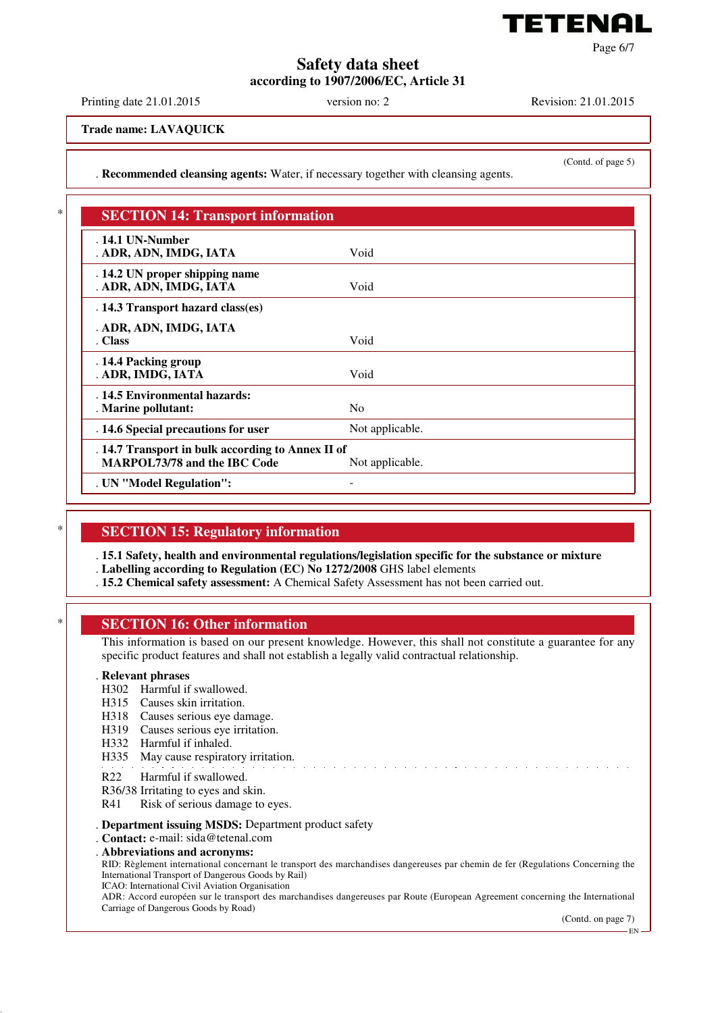

Page 6/7

## **Safety data sheet according to 1907/2006/EC, Article 31**

Printing date 21.01.2015 version no: 2 Revision: 21.01.2015

(Contd. of page 5)

**Trade name: LAVAQUICK**

. **Recommended cleansing agents:** Water, if necessary together with cleansing agents.

| . 14.1 UN-Number                                  |                 |  |
|---------------------------------------------------|-----------------|--|
| . ADR, ADN, IMDG, IATA                            | Void            |  |
| . 14.2 UN proper shipping name                    |                 |  |
| . ADR, ADN, IMDG, IATA                            | Void            |  |
| . 14.3 Transport hazard class(es)                 |                 |  |
| . ADR, ADN, IMDG, IATA                            |                 |  |
| . Class                                           | Void            |  |
| . 14.4 Packing group                              |                 |  |
| . ADR, IMDG, IATA                                 | Void            |  |
| . 14.5 Environmental hazards:                     |                 |  |
| . Marine pollutant:                               | N <sub>0</sub>  |  |
| . 14.6 Special precautions for user               | Not applicable. |  |
| . 14.7 Transport in bulk according to Annex II of |                 |  |
| <b>MARPOL73/78 and the IBC Code</b>               | Not applicable. |  |

## **SECTION 15: Regulatory information**

. **15.1 Safety, health and environmental regulations/legislation specific for the substance or mixture**

. **Labelling according to Regulation (EC) No 1272/2008** GHS label elements

. **15.2 Chemical safety assessment:** A Chemical Safety Assessment has not been carried out.

## **SECTION 16: Other information**

This information is based on our present knowledge. However, this shall not constitute a guarantee for any specific product features and shall not establish a legally valid contractual relationship.

#### . **Relevant phrases**

- H302 Harmful if swallowed.
- H315 Causes skin irritation.
- H318 Causes serious eye damage.
- H319 Causes serious eye irritation.
- H332 Harmful if inhaled.
- H335 May cause respiratory irritation.
- R22 Harmful if swallowed.
- R36/38 Irritating to eyes and skin.
- R41 Risk of serious damage to eyes.
- . **Department issuing MSDS:** Department product safety
- . **Contact:** e-mail: sida@tetenal.com
- . **Abbreviations and acronyms:**

RID: Règlement international concernant le transport des marchandises dangereuses par chemin de fer (Regulations Concerning the International Transport of Dangerous Goods by Rail)

ICAO: International Civil Aviation Organisation

ADR: Accord européen sur le transport des marchandises dangereuses par Route (European Agreement concerning the International Carriage of Dangerous Goods by Road)

(Contd. on page 7)

EN